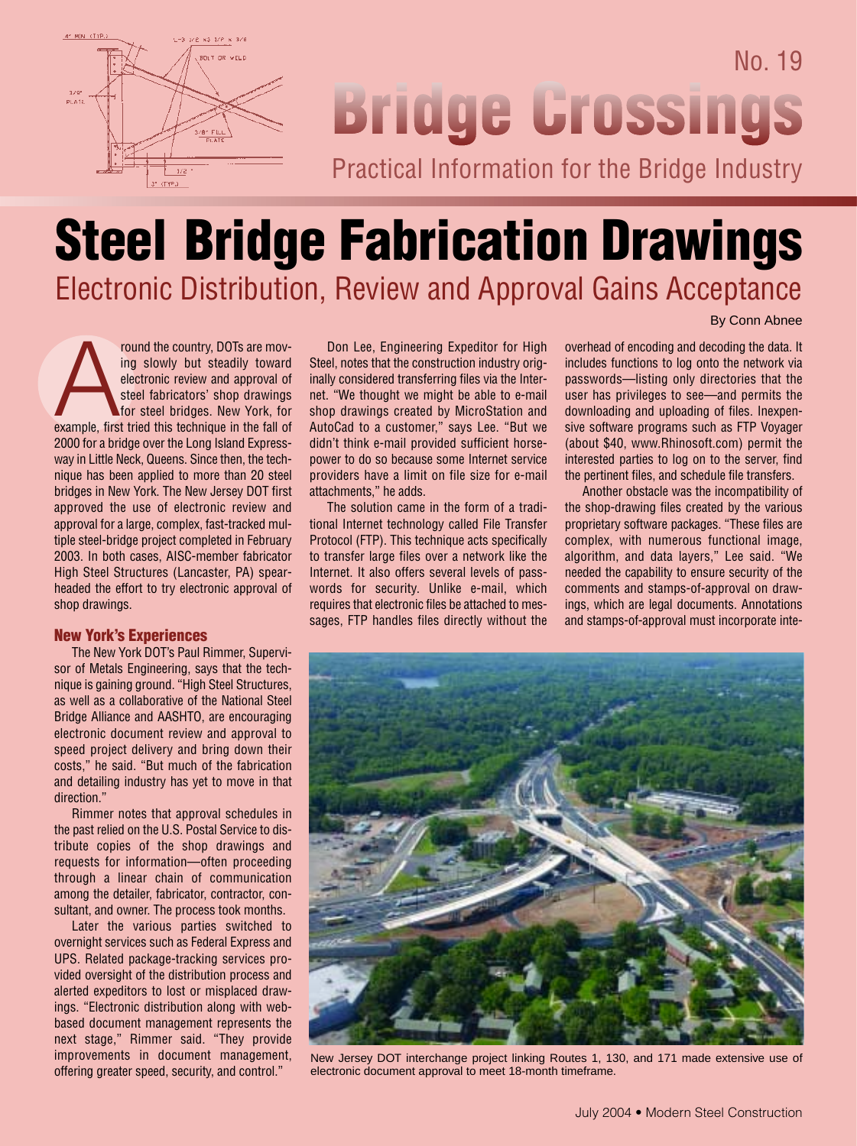

## No. 19 **Bridge Grossings** Practical Information for the Bridge Industry

## **Steel Bridge Fabrication Drawings**  Electronic Distribution, Review and Approval Gains Acceptance

From the country, DOTs are moving slowly but steadily toward<br>electronic review and approval of<br>steel fabricators' shop drawings<br>for steel bridges. New York, for<br>example, first tried this technique in the fall of ing slowly but steadily toward electronic review and approval of steel fabricators' shop drawings for steel bridges. New York, for 2000 for a bridge over the Long Island Expressway in Little Neck, Queens. Since then, the technique has been applied to more than 20 steel bridges in New York. The New Jersey DOT first approved the use of electronic review and approval for a large, complex, fast-tracked multiple steel-bridge project completed in February 2003. In both cases, AISC-member fabricator High Steel Structures (Lancaster, PA) spearheaded the effort to try electronic approval of shop drawings.

## **New York's Experiences**

The New York DOT's Paul Rimmer, Supervisor of Metals Engineering, says that the technique is gaining ground. "High Steel Structures, as well as a collaborative of the National Steel Bridge Alliance and AASHTO, are encouraging electronic document review and approval to speed project delivery and bring down their costs," he said. "But much of the fabrication and detailing industry has yet to move in that direction."

Rimmer notes that approval schedules in the past relied on the U.S. Postal Service to distribute copies of the shop drawings and requests for information—often proceeding through a linear chain of communication among the detailer, fabricator, contractor, consultant, and owner. The process took months.

Later the various parties switched to overnight services such as Federal Express and UPS. Related package-tracking services provided oversight of the distribution process and alerted expeditors to lost or misplaced drawings. "Electronic distribution along with webbased document management represents the next stage," Rimmer said. "They provide improvements in document management, offering greater speed, security, and control."

Don Lee, Engineering Expeditor for High Steel, notes that the construction industry originally considered transferring files via the Internet. "We thought we might be able to e-mail shop drawings created by MicroStation and AutoCad to a customer," says Lee. "But we didn't think e-mail provided sufficient horsepower to do so because some Internet service providers have a limit on file size for e-mail attachments," he adds.

The solution came in the form of a traditional Internet technology called File Transfer Protocol (FTP). This technique acts specifically to transfer large files over a network like the Internet. It also offers several levels of passwords for security. Unlike e-mail, which requires that electronic files be attached to messages, FTP handles files directly without the

overhead of encoding and decoding the data. It includes functions to log onto the network via passwords—listing only directories that the user has privileges to see—and permits the downloading and uploading of files. Inexpensive software programs such as FTP Voyager (about \$40, www.Rhinosoft.com) permit the interested parties to log on to the server, find the pertinent files, and schedule file transfers.

By Conn Abnee

Another obstacle was the incompatibility of the shop-drawing files created by the various proprietary software packages. "These files are complex, with numerous functional image, algorithm, and data layers," Lee said. "We needed the capability to ensure security of the comments and stamps-of-approval on drawings, which are legal documents. Annotations and stamps-of-approval must incorporate inte-



New Jersey DOT interchange project linking Routes 1, 130, and 171 made extensive use of electronic document approval to meet 18-month timeframe.